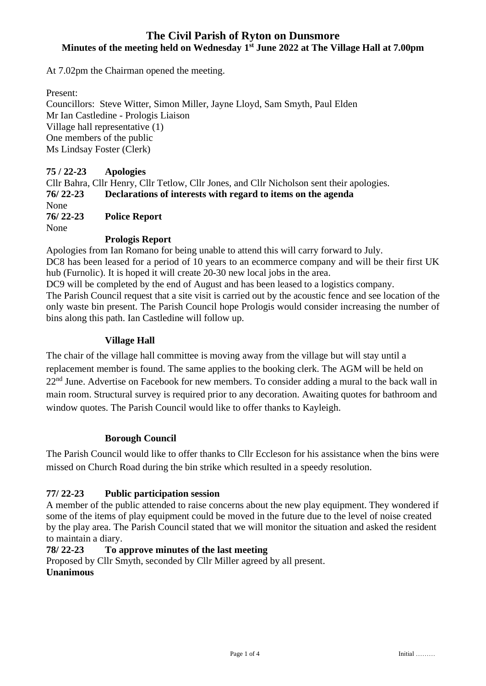# **The Civil Parish of Ryton on Dunsmore Minutes of the meeting held on Wednesday 1 st June 2022 at The Village Hall at 7.00pm**

At 7.02pm the Chairman opened the meeting.

Present:

Councillors: Steve Witter, Simon Miller, Jayne Lloyd, Sam Smyth, Paul Elden Mr Ian Castledine - Prologis Liaison Village hall representative (1) One members of the public Ms Lindsay Foster (Clerk)

**75 / 22-23 Apologies** Cllr Bahra, Cllr Henry, Cllr Tetlow, Cllr Jones, and Cllr Nicholson sent their apologies. **76/ 22-23 Declarations of interests with regard to items on the agenda** None **76/ 22-23 Police Report** None

## **Prologis Report**

Apologies from Ian Romano for being unable to attend this will carry forward to July. DC8 has been leased for a period of 10 years to an ecommerce company and will be their first UK hub (Furnolic). It is hoped it will create 20-30 new local jobs in the area.

DC9 will be completed by the end of August and has been leased to a logistics company. The Parish Council request that a site visit is carried out by the acoustic fence and see location of the only waste bin present. The Parish Council hope Prologis would consider increasing the number of bins along this path. Ian Castledine will follow up.

#### **Village Hall**

The chair of the village hall committee is moving away from the village but will stay until a replacement member is found. The same applies to the booking clerk. The AGM will be held on  $22<sup>nd</sup>$  June. Advertise on Facebook for new members. To consider adding a mural to the back wall in main room. Structural survey is required prior to any decoration. Awaiting quotes for bathroom and window quotes. The Parish Council would like to offer thanks to Kayleigh.

## **Borough Council**

The Parish Council would like to offer thanks to Cllr Eccleson for his assistance when the bins were missed on Church Road during the bin strike which resulted in a speedy resolution.

## **77/ 22-23 Public participation session**

A member of the public attended to raise concerns about the new play equipment. They wondered if some of the items of play equipment could be moved in the future due to the level of noise created by the play area. The Parish Council stated that we will monitor the situation and asked the resident to maintain a diary.

#### **78/ 22-23 To approve minutes of the last meeting**

Proposed by Cllr Smyth, seconded by Cllr Miller agreed by all present. **Unanimous**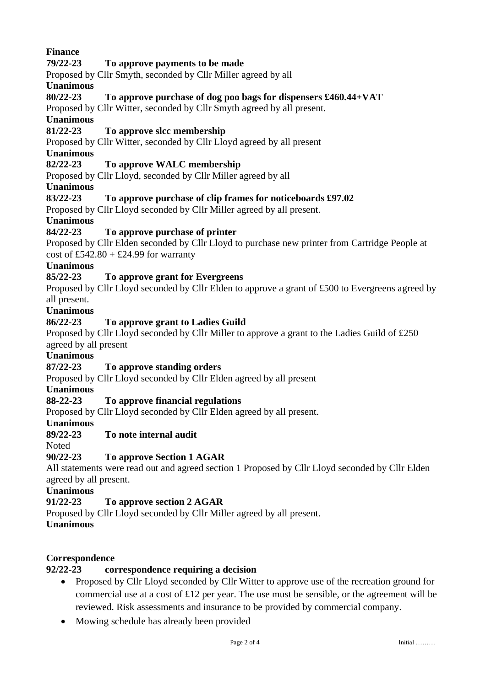# **Finance**

## **79/22-23 To approve payments to be made**

Proposed by Cllr Smyth, seconded by Cllr Miller agreed by all

**Unanimous**

# **80/22-23 To approve purchase of dog poo bags for dispensers £460.44+VAT**

Proposed by Cllr Witter, seconded by Cllr Smyth agreed by all present.

#### **Unanimous**

# **81/22-23 To approve slcc membership**

Proposed by Cllr Witter, seconded by Cllr Lloyd agreed by all present

## **Unanimous**

# **82/22-23 To approve WALC membership**

Proposed by Cllr Lloyd, seconded by Cllr Miller agreed by all

#### **Unanimous**

# **83/22-23 To approve purchase of clip frames for noticeboards £97.02**

Proposed by Cllr Lloyd seconded by Cllr Miller agreed by all present.

## **Unanimous**

# **84/22-23 To approve purchase of printer**

Proposed by Cllr Elden seconded by Cllr Lloyd to purchase new printer from Cartridge People at cost of  $£542.80 + £24.99$  for warranty

# **Unanimous**

# **85/22-23 To approve grant for Evergreens**

Proposed by Cllr Lloyd seconded by Cllr Elden to approve a grant of £500 to Evergreens agreed by all present.

#### **Unanimous**

# **86/22-23 To approve grant to Ladies Guild**

Proposed by Cllr Lloyd seconded by Cllr Miller to approve a grant to the Ladies Guild of £250 agreed by all present

# **Unanimous**

## **87/22-23 To approve standing orders**

Proposed by Cllr Lloyd seconded by Cllr Elden agreed by all present

# **Unanimous**

## **88-22-23 To approve financial regulations**

Proposed by Cllr Lloyd seconded by Cllr Elden agreed by all present.

## **Unanimous**

## **89/22-23 To note internal audit**

Noted

## **90/22-23 To approve Section 1 AGAR**

All statements were read out and agreed section 1 Proposed by Cllr Lloyd seconded by Cllr Elden agreed by all present.

## **Unanimous**

# **91/22-23 To approve section 2 AGAR**

Proposed by Cllr Lloyd seconded by Cllr Miller agreed by all present.

## **Unanimous**

# **Correspondence**

# **92/22-23 correspondence requiring a decision**

- Proposed by Cllr Lloyd seconded by Cllr Witter to approve use of the recreation ground for commercial use at a cost of £12 per year. The use must be sensible, or the agreement will be reviewed. Risk assessments and insurance to be provided by commercial company.
- Mowing schedule has already been provided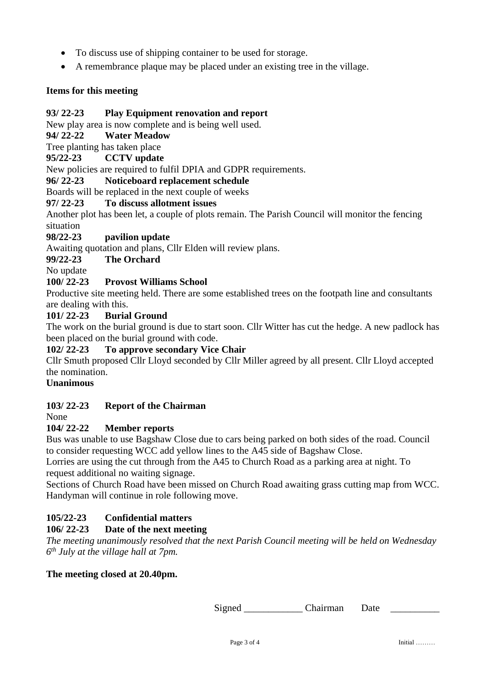- To discuss use of shipping container to be used for storage.
- A remembrance plaque may be placed under an existing tree in the village.

#### **Items for this meeting**

#### **93/ 22-23 Play Equipment renovation and report**

New play area is now complete and is being well used.

**94/ 22-22 Water Meadow**

Tree planting has taken place

## **95/22-23 CCTV update**

New policies are required to fulfil DPIA and GDPR requirements.

#### **96/ 22-23 Noticeboard replacement schedule**

Boards will be replaced in the next couple of weeks

#### **97/ 22-23 To discuss allotment issues**

Another plot has been let, a couple of plots remain. The Parish Council will monitor the fencing situation

#### **98/22-23 pavilion update**

Awaiting quotation and plans, Cllr Elden will review plans.

#### **99/22-23 The Orchard**

No update

## **100/ 22-23 Provost Williams School**

Productive site meeting held. There are some established trees on the footpath line and consultants are dealing with this.

#### **101/ 22-23 Burial Ground**

The work on the burial ground is due to start soon. Cllr Witter has cut the hedge. A new padlock has been placed on the burial ground with code.

## **102/ 22-23 To approve secondary Vice Chair**

Cllr Smuth proposed Cllr Lloyd seconded by Cllr Miller agreed by all present. Cllr Lloyd accepted the nomination.

## **Unanimous**

## **103/ 22-23 Report of the Chairman**

None

## **104/ 22-22 Member reports**

Bus was unable to use Bagshaw Close due to cars being parked on both sides of the road. Council to consider requesting WCC add yellow lines to the A45 side of Bagshaw Close.

Lorries are using the cut through from the A45 to Church Road as a parking area at night. To request additional no waiting signage.

Sections of Church Road have been missed on Church Road awaiting grass cutting map from WCC. Handyman will continue in role following move.

## **105/22-23 Confidential matters**

## **106/ 22-23 Date of the next meeting**

*The meeting unanimously resolved that the next Parish Council meeting will be held on Wednesday 6 th July at the village hall at 7pm.*

#### **The meeting closed at 20.40pm.**

Signed Chairman Date